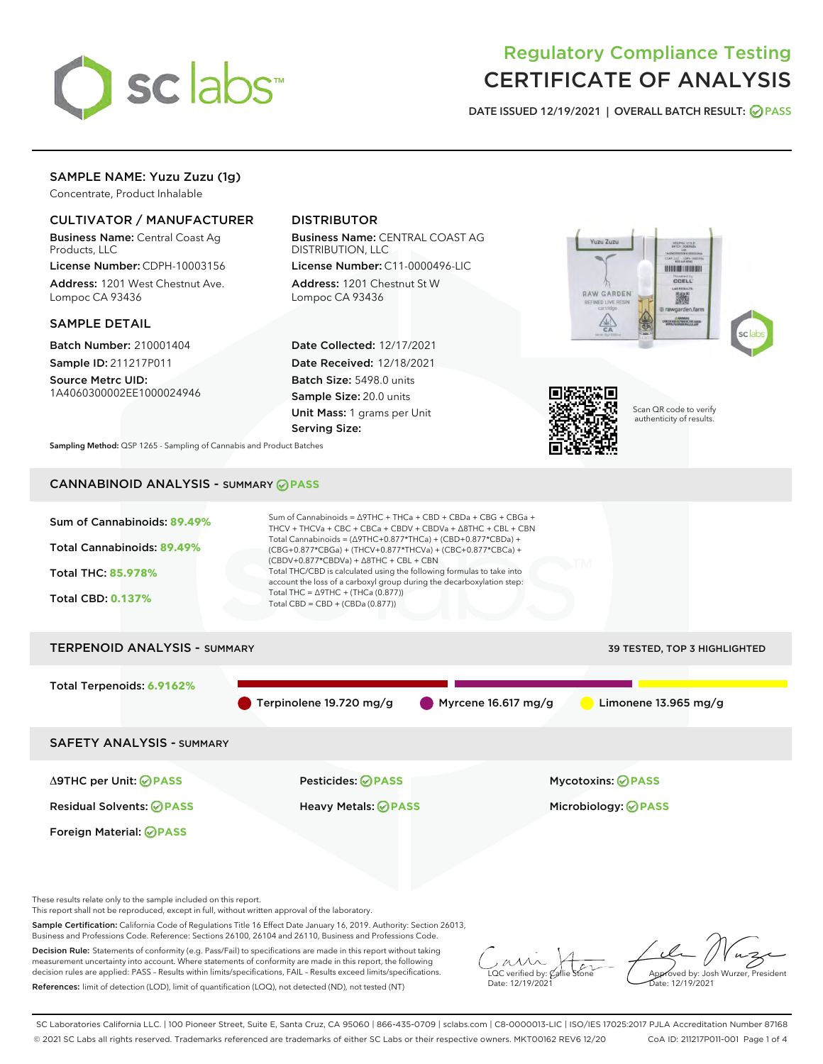

# Regulatory Compliance Testing CERTIFICATE OF ANALYSIS

DATE ISSUED 12/19/2021 | OVERALL BATCH RESULT: @ PASS

## SAMPLE NAME: Yuzu Zuzu (1g)

Concentrate, Product Inhalable

## CULTIVATOR / MANUFACTURER

Business Name: Central Coast Ag Products, LLC

License Number: CDPH-10003156 Address: 1201 West Chestnut Ave. Lompoc CA 93436

#### SAMPLE DETAIL

Batch Number: 210001404 Sample ID: 211217P011

Source Metrc UID: 1A4060300002EE1000024946

## DISTRIBUTOR

Business Name: CENTRAL COAST AG DISTRIBUTION, LLC

License Number: C11-0000496-LIC Address: 1201 Chestnut St W Lompoc CA 93436

Date Collected: 12/17/2021 Date Received: 12/18/2021 Batch Size: 5498.0 units Sample Size: 20.0 units Unit Mass: 1 grams per Unit Serving Size:





Scan QR code to verify authenticity of results.

Sampling Method: QSP 1265 - Sampling of Cannabis and Product Batches

# CANNABINOID ANALYSIS - SUMMARY **PASS**



Decision Rule: Statements of conformity (e.g. Pass/Fail) to specifications are made in this report without taking measurement uncertainty into account. Where statements of conformity are made in this report, the following decision rules are applied: PASS – Results within limits/specifications, FAIL – Results exceed limits/specifications. References: limit of detection (LOD), limit of quantification (LOQ), not detected (ND), not tested (NT)

 $\overline{\text{LOC}}$  verified by:  $\mathcal{C}_i$ Date: 12/19/2021

Approved by: Josh Wurzer, President ate: 12/19/2021

SC Laboratories California LLC. | 100 Pioneer Street, Suite E, Santa Cruz, CA 95060 | 866-435-0709 | sclabs.com | C8-0000013-LIC | ISO/IES 17025:2017 PJLA Accreditation Number 87168 © 2021 SC Labs all rights reserved. Trademarks referenced are trademarks of either SC Labs or their respective owners. MKT00162 REV6 12/20 CoA ID: 211217P011-001 Page 1 of 4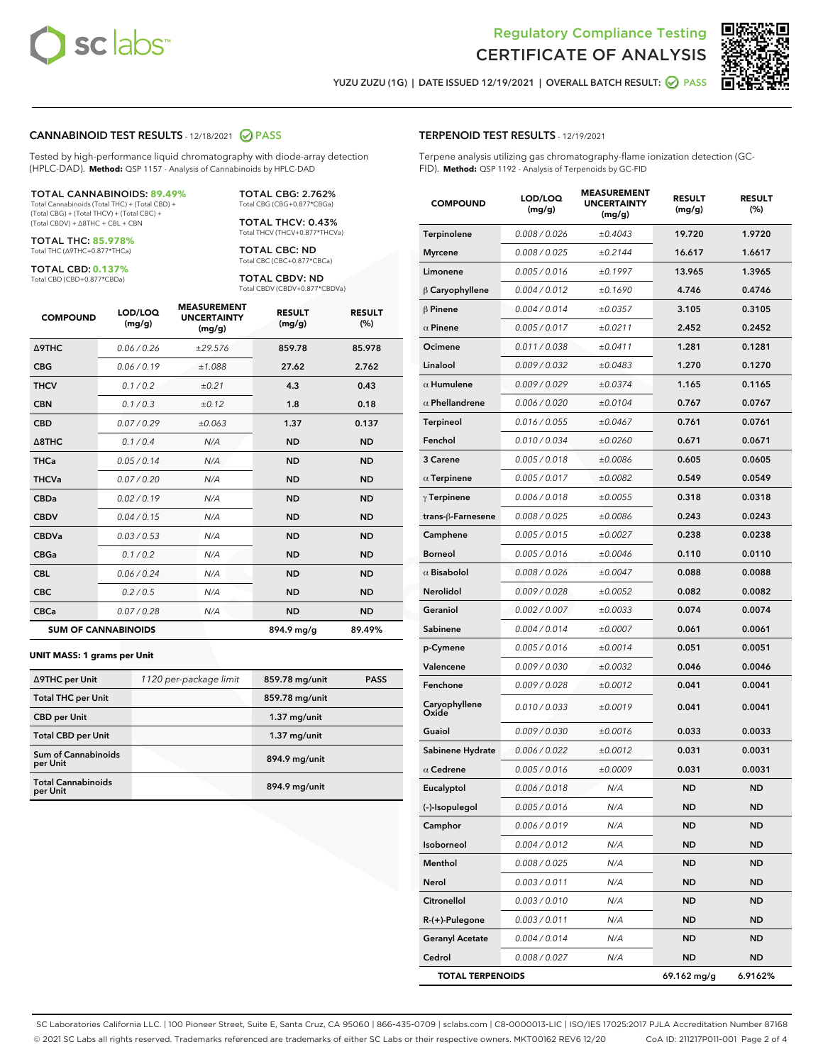

Terpene analysis utilizing gas chromatography-flame ionization detection (GC-



YUZU ZUZU (1G) | DATE ISSUED 12/19/2021 | OVERALL BATCH RESULT: ☑ PASS

TERPENOID TEST RESULTS - 12/19/2021

FID). **Method:** QSP 1192 - Analysis of Terpenoids by GC-FID

#### CANNABINOID TEST RESULTS - 12/18/2021 2 PASS

Tested by high-performance liquid chromatography with diode-array detection (HPLC-DAD). **Method:** QSP 1157 - Analysis of Cannabinoids by HPLC-DAD

#### TOTAL CANNABINOIDS: **89.49%**

Total Cannabinoids (Total THC) + (Total CBD) + (Total CBG) + (Total THCV) + (Total CBC) + (Total CBDV) + ∆8THC + CBL + CBN

TOTAL THC: **85.978%** Total THC (∆9THC+0.877\*THCa)

TOTAL CBD: **0.137%**

Total CBD (CBD+0.877\*CBDa)

TOTAL CBG: 2.762% Total CBG (CBG+0.877\*CBGa)

TOTAL THCV: 0.43% Total THCV (THCV+0.877\*THCVa)

TOTAL CBC: ND Total CBC (CBC+0.877\*CBCa)

TOTAL CBDV: ND Total CBDV (CBDV+0.877\*CBDVa)

| <b>COMPOUND</b>            | LOD/LOQ<br>(mg/g) | <b>MEASUREMENT</b><br><b>UNCERTAINTY</b><br>(mg/g) | <b>RESULT</b><br>(mg/g) | <b>RESULT</b><br>(%) |
|----------------------------|-------------------|----------------------------------------------------|-------------------------|----------------------|
| <b>A9THC</b>               | 0.06 / 0.26       | ±29.576                                            | 859.78                  | 85.978               |
| <b>CBG</b>                 | 0.06/0.19         | ±1.088                                             | 27.62                   | 2.762                |
| <b>THCV</b>                | 0.1 / 0.2         | ±0.21                                              | 4.3                     | 0.43                 |
| <b>CBN</b>                 | 0.1/0.3           | ±0.12                                              | 1.8                     | 0.18                 |
| <b>CBD</b>                 | 0.07/0.29         | ±0.063                                             | 1.37                    | 0.137                |
| $\triangle$ 8THC           | 0.1 / 0.4         | N/A                                                | <b>ND</b>               | <b>ND</b>            |
| <b>THCa</b>                | 0.05/0.14         | N/A                                                | <b>ND</b>               | <b>ND</b>            |
| <b>THCVa</b>               | 0.07/0.20         | N/A                                                | <b>ND</b>               | <b>ND</b>            |
| <b>CBDa</b>                | 0.02/0.19         | N/A                                                | <b>ND</b>               | <b>ND</b>            |
| <b>CBDV</b>                | 0.04/0.15         | N/A                                                | <b>ND</b>               | <b>ND</b>            |
| <b>CBDVa</b>               | 0.03/0.53         | N/A                                                | <b>ND</b>               | <b>ND</b>            |
| <b>CBGa</b>                | 0.1/0.2           | N/A                                                | <b>ND</b>               | <b>ND</b>            |
| <b>CBL</b>                 | 0.06 / 0.24       | N/A                                                | <b>ND</b>               | <b>ND</b>            |
| <b>CBC</b>                 | 0.2 / 0.5         | N/A                                                | <b>ND</b>               | <b>ND</b>            |
| <b>CBCa</b>                | 0.07 / 0.28       | N/A                                                | <b>ND</b>               | <b>ND</b>            |
| <b>SUM OF CANNABINOIDS</b> |                   |                                                    | 894.9 mg/g              | 89.49%               |

#### **UNIT MASS: 1 grams per Unit**

| ∆9THC per Unit                         | 1120 per-package limit | 859.78 mg/unit | <b>PASS</b> |
|----------------------------------------|------------------------|----------------|-------------|
| <b>Total THC per Unit</b>              |                        | 859.78 mg/unit |             |
| <b>CBD per Unit</b>                    |                        | $1.37$ mg/unit |             |
| <b>Total CBD per Unit</b>              |                        | $1.37$ mg/unit |             |
| <b>Sum of Cannabinoids</b><br>per Unit |                        | 894.9 mg/unit  |             |
| <b>Total Cannabinoids</b><br>per Unit  |                        | 894.9 mg/unit  |             |

| <b>COMPOUND</b>                      | LOD/LOQ<br>(mg/g) | <b>MEASUREMENT</b><br><b>UNCERTAINTY</b><br>(mg/g) | <b>RESULT</b><br>(mg/g) | <b>RESULT</b><br>$(\%)$ |
|--------------------------------------|-------------------|----------------------------------------------------|-------------------------|-------------------------|
| Terpinolene                          | 0.008 / 0.026     | ±0.4043                                            | 19.720                  | 1.9720                  |
| <b>Myrcene</b>                       | 0.008 / 0.025     | ±0.2144                                            | 16.617                  | 1.6617                  |
| Limonene                             | 0.005 / 0.016     | ±0.1997                                            | 13.965                  | 1.3965                  |
| $\beta$ Caryophyllene                | 0.004 / 0.012     | ±0.1690                                            | 4.746                   | 0.4746                  |
| $\beta$ Pinene                       | 0.004 / 0.014     | ±0.0357                                            | 3.105                   | 0.3105                  |
| $\alpha$ Pinene                      | 0.005 / 0.017     | ±0.0211                                            | 2.452                   | 0.2452                  |
| Ocimene                              | 0.011 / 0.038     | ±0.0411                                            | 1.281                   | 0.1281                  |
| Linalool                             | 0.009 / 0.032     | ±0.0483                                            | 1.270                   | 0.1270                  |
| $\alpha$ Humulene                    | 0.009 / 0.029     | ±0.0374                                            | 1.165                   | 0.1165                  |
| $\alpha$ Phellandrene                | 0.006 / 0.020     | ±0.0104                                            | 0.767                   | 0.0767                  |
| Terpineol                            | 0.016 / 0.055     | ±0.0467                                            | 0.761                   | 0.0761                  |
| Fenchol                              | 0.010 / 0.034     | ±0.0260                                            | 0.671                   | 0.0671                  |
| 3 Carene                             | 0.005 / 0.018     | ±0.0086                                            | 0.605                   | 0.0605                  |
| $\alpha$ Terpinene                   | 0.005 / 0.017     | ±0.0082                                            | 0.549                   | 0.0549                  |
| $\gamma$ Terpinene                   | 0.006 / 0.018     | ±0.0055                                            | 0.318                   | 0.0318                  |
| trans-ß-Farnesene                    | 0.008 / 0.025     | ±0.0086                                            | 0.243                   | 0.0243                  |
| Camphene                             | 0.005 / 0.015     | ±0.0027                                            | 0.238                   | 0.0238                  |
| <b>Borneol</b>                       | 0.005 / 0.016     | ±0.0046                                            | 0.110                   | 0.0110                  |
| $\alpha$ Bisabolol                   | 0.008 / 0.026     | ±0.0047                                            | 0.088                   | 0.0088                  |
| <b>Nerolidol</b>                     | 0.009 / 0.028     | ±0.0052                                            | 0.082                   | 0.0082                  |
| Geraniol                             | 0.002 / 0.007     | ±0.0033                                            | 0.074                   | 0.0074                  |
| Sabinene                             | 0.004 / 0.014     | ±0.0007                                            | 0.061                   | 0.0061                  |
| p-Cymene                             | 0.005 / 0.016     | ±0.0014                                            | 0.051                   | 0.0051                  |
| Valencene                            | 0.009 / 0.030     | ±0.0032                                            | 0.046                   | 0.0046                  |
| Fenchone                             | 0.009 / 0.028     | ±0.0012                                            | 0.041                   | 0.0041                  |
| Caryophyllen <mark>e</mark><br>Oxide | 0.010 / 0.033     | ±0.0019                                            | 0.041                   | 0.0041                  |
| Guaiol                               | 0.009/0.030       | ±0.0016                                            | 0.033                   | 0.0033                  |
| Sabinene Hydrate                     | 0.006 / 0.022     | ±0.0012                                            | 0.031                   | 0.0031                  |
| $\alpha$ Cedrene                     | 0.005 / 0.016     | ±0.0009                                            | 0.031                   | 0.0031                  |
| Eucalyptol                           | 0.006 / 0.018     | N/A                                                | ND                      | ND                      |
| (-)-Isopulegol                       | 0.005 / 0.016     | N/A                                                | <b>ND</b>               | <b>ND</b>               |
| Camphor                              | 0.006 / 0.019     | N/A                                                | <b>ND</b>               | <b>ND</b>               |
| Isoborneol                           | 0.004 / 0.012     | N/A                                                | <b>ND</b>               | ND                      |
| Menthol                              | 0.008 / 0.025     | N/A                                                | <b>ND</b>               | ND                      |
| Nerol                                | 0.003 / 0.011     | N/A                                                | ND                      | ND                      |
| Citronellol                          | 0.003 / 0.010     | N/A                                                | <b>ND</b>               | ND                      |
| R-(+)-Pulegone                       | 0.003 / 0.011     | N/A                                                | <b>ND</b>               | ND                      |
| <b>Geranyl Acetate</b>               | 0.004 / 0.014     | N/A                                                | <b>ND</b>               | <b>ND</b>               |
| Cedrol                               | 0.008 / 0.027     | N/A                                                | <b>ND</b>               | <b>ND</b>               |

TOTAL TERPENOIDS 69.162 mg/g 6.9162%

SC Laboratories California LLC. | 100 Pioneer Street, Suite E, Santa Cruz, CA 95060 | 866-435-0709 | sclabs.com | C8-0000013-LIC | ISO/IES 17025:2017 PJLA Accreditation Number 87168 © 2021 SC Labs all rights reserved. Trademarks referenced are trademarks of either SC Labs or their respective owners. MKT00162 REV6 12/20 CoA ID: 211217P011-001 Page 2 of 4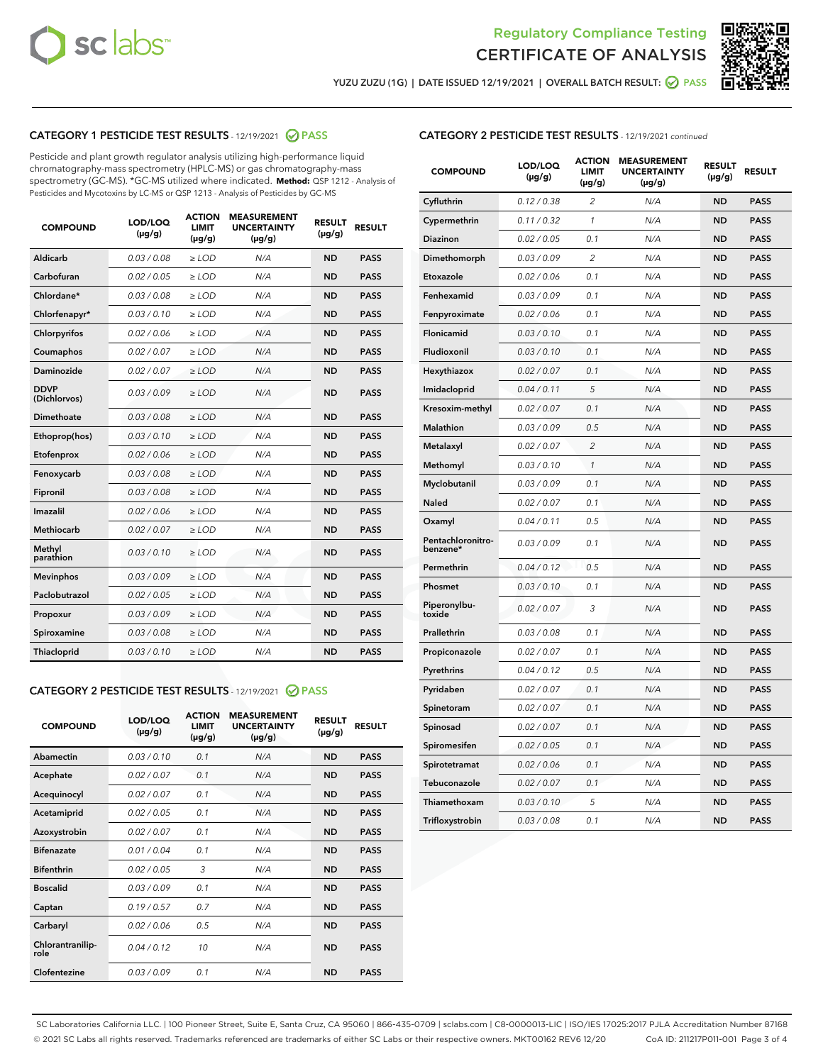



YUZU ZUZU (1G) | DATE ISSUED 12/19/2021 | OVERALL BATCH RESULT: 2 PASS

## CATEGORY 1 PESTICIDE TEST RESULTS - 12/19/2021 2 PASS

Pesticide and plant growth regulator analysis utilizing high-performance liquid chromatography-mass spectrometry (HPLC-MS) or gas chromatography-mass spectrometry (GC-MS). \*GC-MS utilized where indicated. **Method:** QSP 1212 - Analysis of Pesticides and Mycotoxins by LC-MS or QSP 1213 - Analysis of Pesticides by GC-MS

| <b>COMPOUND</b>             | LOD/LOQ<br>$(\mu g/g)$ | <b>ACTION</b><br><b>LIMIT</b><br>$(\mu g/g)$ | <b>MEASUREMENT</b><br><b>UNCERTAINTY</b><br>$(\mu g/g)$ | <b>RESULT</b><br>$(\mu g/g)$ | <b>RESULT</b> |
|-----------------------------|------------------------|----------------------------------------------|---------------------------------------------------------|------------------------------|---------------|
| Aldicarb                    | 0.03/0.08              | $>$ LOD                                      | N/A                                                     | <b>ND</b>                    | <b>PASS</b>   |
| Carbofuran                  | 0.02 / 0.05            | $\ge$ LOD                                    | N/A                                                     | <b>ND</b>                    | <b>PASS</b>   |
| Chlordane*                  | 0.03/0.08              | $>$ LOD                                      | N/A                                                     | <b>ND</b>                    | <b>PASS</b>   |
| Chlorfenapyr*               | 0.03/0.10              | $\ge$ LOD                                    | N/A                                                     | <b>ND</b>                    | <b>PASS</b>   |
| Chlorpyrifos                | 0.02 / 0.06            | $\ge$ LOD                                    | N/A                                                     | <b>ND</b>                    | <b>PASS</b>   |
| Coumaphos                   | 0.02 / 0.07            | $\ge$ LOD                                    | N/A                                                     | <b>ND</b>                    | <b>PASS</b>   |
| Daminozide                  | 0.02 / 0.07            | $\ge$ LOD                                    | N/A                                                     | <b>ND</b>                    | <b>PASS</b>   |
| <b>DDVP</b><br>(Dichlorvos) | 0.03/0.09              | $\ge$ LOD                                    | N/A                                                     | <b>ND</b>                    | <b>PASS</b>   |
| <b>Dimethoate</b>           | 0.03 / 0.08            | $\ge$ LOD                                    | N/A                                                     | <b>ND</b>                    | <b>PASS</b>   |
| Ethoprop(hos)               | 0.03/0.10              | $\ge$ LOD                                    | N/A                                                     | <b>ND</b>                    | <b>PASS</b>   |
| Etofenprox                  | 0.02 / 0.06            | $\ge$ LOD                                    | N/A                                                     | <b>ND</b>                    | <b>PASS</b>   |
| Fenoxycarb                  | 0.03 / 0.08            | $\ge$ LOD                                    | N/A                                                     | <b>ND</b>                    | <b>PASS</b>   |
| Fipronil                    | 0.03/0.08              | $>$ LOD                                      | N/A                                                     | <b>ND</b>                    | <b>PASS</b>   |
| Imazalil                    | 0.02 / 0.06            | $\ge$ LOD                                    | N/A                                                     | <b>ND</b>                    | <b>PASS</b>   |
| Methiocarb                  | 0.02 / 0.07            | $\ge$ LOD                                    | N/A                                                     | <b>ND</b>                    | <b>PASS</b>   |
| Methyl<br>parathion         | 0.03/0.10              | $\ge$ LOD                                    | N/A                                                     | <b>ND</b>                    | <b>PASS</b>   |
| <b>Mevinphos</b>            | 0.03/0.09              | $\ge$ LOD                                    | N/A                                                     | <b>ND</b>                    | <b>PASS</b>   |
| Paclobutrazol               | 0.02 / 0.05            | $>$ LOD                                      | N/A                                                     | <b>ND</b>                    | <b>PASS</b>   |
| Propoxur                    | 0.03/0.09              | $\ge$ LOD                                    | N/A                                                     | <b>ND</b>                    | <b>PASS</b>   |
| Spiroxamine                 | 0.03 / 0.08            | $\ge$ LOD                                    | N/A                                                     | <b>ND</b>                    | <b>PASS</b>   |
| Thiacloprid                 | 0.03/0.10              | $\ge$ LOD                                    | N/A                                                     | <b>ND</b>                    | <b>PASS</b>   |

#### CATEGORY 2 PESTICIDE TEST RESULTS - 12/19/2021 @ PASS

| <b>COMPOUND</b>          | LOD/LOQ<br>$(\mu g/g)$ | <b>ACTION</b><br><b>LIMIT</b><br>$(\mu g/g)$ | <b>MEASUREMENT</b><br><b>UNCERTAINTY</b><br>$(\mu g/g)$ | <b>RESULT</b><br>$(\mu g/g)$ | <b>RESULT</b> |
|--------------------------|------------------------|----------------------------------------------|---------------------------------------------------------|------------------------------|---------------|
| Abamectin                | 0.03/0.10              | 0.1                                          | N/A                                                     | <b>ND</b>                    | <b>PASS</b>   |
| Acephate                 | 0.02/0.07              | 0.1                                          | N/A                                                     | <b>ND</b>                    | <b>PASS</b>   |
| Acequinocyl              | 0.02/0.07              | 0.1                                          | N/A                                                     | <b>ND</b>                    | <b>PASS</b>   |
| Acetamiprid              | 0.02/0.05              | 0.1                                          | N/A                                                     | <b>ND</b>                    | <b>PASS</b>   |
| Azoxystrobin             | 0 02 / 0 07            | 0.1                                          | N/A                                                     | <b>ND</b>                    | <b>PASS</b>   |
| <b>Bifenazate</b>        | 0.01/0.04              | 0.1                                          | N/A                                                     | <b>ND</b>                    | <b>PASS</b>   |
| <b>Bifenthrin</b>        | 0.02 / 0.05            | 3                                            | N/A                                                     | <b>ND</b>                    | <b>PASS</b>   |
| <b>Boscalid</b>          | 0.03/0.09              | 0.1                                          | N/A                                                     | <b>ND</b>                    | <b>PASS</b>   |
| Captan                   | 0.19/0.57              | 0.7                                          | N/A                                                     | <b>ND</b>                    | <b>PASS</b>   |
| Carbaryl                 | 0.02/0.06              | 0.5                                          | N/A                                                     | <b>ND</b>                    | <b>PASS</b>   |
| Chlorantranilip-<br>role | 0.04/0.12              | 10                                           | N/A                                                     | <b>ND</b>                    | <b>PASS</b>   |
| Clofentezine             | 0.03/0.09              | 0.1                                          | N/A                                                     | <b>ND</b>                    | <b>PASS</b>   |

### CATEGORY 2 PESTICIDE TEST RESULTS - 12/19/2021 continued

| <b>COMPOUND</b>               | LOD/LOQ<br>(µg/g) | <b>ACTION</b><br><b>LIMIT</b><br>$(\mu g/g)$ | <b>MEASUREMENT</b><br><b>UNCERTAINTY</b><br>$(\mu g/g)$ | <b>RESULT</b><br>(µg/g) | <b>RESULT</b> |
|-------------------------------|-------------------|----------------------------------------------|---------------------------------------------------------|-------------------------|---------------|
| Cyfluthrin                    | 0.12 / 0.38       | $\overline{c}$                               | N/A                                                     | ND                      | <b>PASS</b>   |
| Cypermethrin                  | 0.11 / 0.32       | $\mathcal{I}$                                | N/A                                                     | ND                      | <b>PASS</b>   |
| <b>Diazinon</b>               | 0.02 / 0.05       | 0.1                                          | N/A                                                     | <b>ND</b>               | <b>PASS</b>   |
| Dimethomorph                  | 0.03 / 0.09       | 2                                            | N/A                                                     | ND                      | <b>PASS</b>   |
| Etoxazole                     | 0.02 / 0.06       | 0.1                                          | N/A                                                     | ND                      | <b>PASS</b>   |
| Fenhexamid                    | 0.03 / 0.09       | 0.1                                          | N/A                                                     | ND                      | <b>PASS</b>   |
| Fenpyroximate                 | 0.02 / 0.06       | 0.1                                          | N/A                                                     | <b>ND</b>               | <b>PASS</b>   |
| Flonicamid                    | 0.03 / 0.10       | 0.1                                          | N/A                                                     | ND                      | <b>PASS</b>   |
| Fludioxonil                   | 0.03 / 0.10       | 0.1                                          | N/A                                                     | ND                      | <b>PASS</b>   |
| Hexythiazox                   | 0.02 / 0.07       | 0.1                                          | N/A                                                     | ND                      | <b>PASS</b>   |
| Imidacloprid                  | 0.04 / 0.11       | 5                                            | N/A                                                     | ND                      | <b>PASS</b>   |
| Kresoxim-methyl               | 0.02 / 0.07       | 0.1                                          | N/A                                                     | ND                      | <b>PASS</b>   |
| Malathion                     | 0.03 / 0.09       | 0.5                                          | N/A                                                     | ND                      | <b>PASS</b>   |
| Metalaxyl                     | 0.02 / 0.07       | $\overline{c}$                               | N/A                                                     | ND                      | <b>PASS</b>   |
| Methomyl                      | 0.03 / 0.10       | $\mathbf{1}$                                 | N/A                                                     | ND                      | <b>PASS</b>   |
| Myclobutanil                  | 0.03 / 0.09       | 0.1                                          | N/A                                                     | <b>ND</b>               | <b>PASS</b>   |
| Naled                         | 0.02 / 0.07       | 0.1                                          | N/A                                                     | ND                      | <b>PASS</b>   |
| Oxamyl                        | 0.04 / 0.11       | 0.5                                          | N/A                                                     | ND                      | PASS          |
| Pentachloronitro-<br>benzene* | 0.03 / 0.09       | 0.1                                          | N/A                                                     | ND                      | <b>PASS</b>   |
| Permethrin                    | 0.04 / 0.12       | 0.5                                          | N/A                                                     | ND                      | <b>PASS</b>   |
| Phosmet                       | 0.03 / 0.10       | 0.1                                          | N/A                                                     | ND                      | <b>PASS</b>   |
| Piperonylbu-<br>toxide        | 0.02 / 0.07       | 3                                            | N/A                                                     | <b>ND</b>               | <b>PASS</b>   |
| Prallethrin                   | 0.03 / 0.08       | 0.1                                          | N/A                                                     | ND                      | <b>PASS</b>   |
| Propiconazole                 | 0.02 / 0.07       | 0.1                                          | N/A                                                     | <b>ND</b>               | <b>PASS</b>   |
| Pyrethrins                    | 0.04 / 0.12       | 0.5                                          | N/A                                                     | ND                      | <b>PASS</b>   |
| Pyridaben                     | 0.02 / 0.07       | 0.1                                          | N/A                                                     | <b>ND</b>               | <b>PASS</b>   |
| Spinetoram                    | 0.02 / 0.07       | 0.1                                          | N/A                                                     | ND                      | <b>PASS</b>   |
| Spinosad                      | 0.02 / 0.07       | 0.1                                          | N/A                                                     | ND                      | <b>PASS</b>   |
| Spiromesifen                  | 0.02 / 0.05       | 0.1                                          | N/A                                                     | <b>ND</b>               | <b>PASS</b>   |
| Spirotetramat                 | 0.02 / 0.06       | 0.1                                          | N/A                                                     | ND                      | <b>PASS</b>   |
| Tebuconazole                  | 0.02 / 0.07       | 0.1                                          | N/A                                                     | ND                      | <b>PASS</b>   |
| Thiamethoxam                  | 0.03 / 0.10       | 5                                            | N/A                                                     | <b>ND</b>               | <b>PASS</b>   |
| Trifloxystrobin               | 0.03 / 0.08       | 0.1                                          | N/A                                                     | <b>ND</b>               | <b>PASS</b>   |

SC Laboratories California LLC. | 100 Pioneer Street, Suite E, Santa Cruz, CA 95060 | 866-435-0709 | sclabs.com | C8-0000013-LIC | ISO/IES 17025:2017 PJLA Accreditation Number 87168 © 2021 SC Labs all rights reserved. Trademarks referenced are trademarks of either SC Labs or their respective owners. MKT00162 REV6 12/20 CoA ID: 211217P011-001 Page 3 of 4